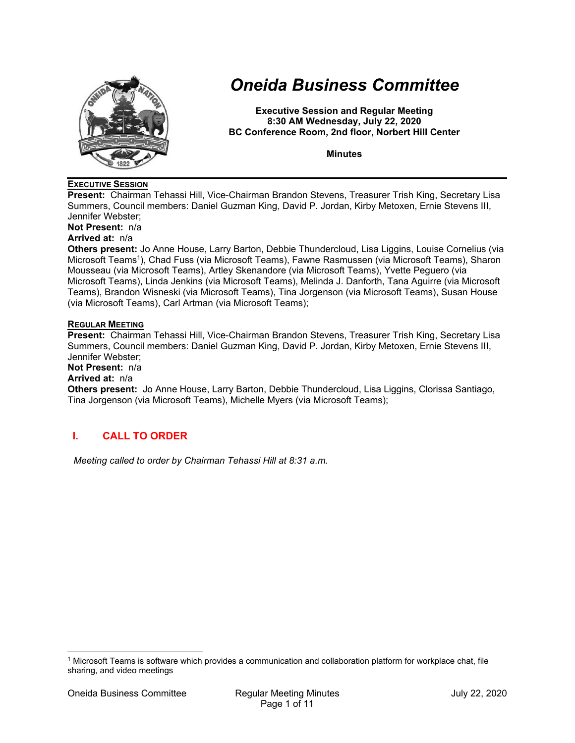

# *Oneida Business Committee*

**Executive Session and Regular Meeting 8:30 AM Wednesday, July 22, 2020 BC Conference Room, 2nd floor, Norbert Hill Center** 

**Minutes** 

## **EXECUTIVE SESSION**

**Present:** Chairman Tehassi Hill, Vice-Chairman Brandon Stevens, Treasurer Trish King, Secretary Lisa Summers, Council members: Daniel Guzman King, David P. Jordan, Kirby Metoxen, Ernie Stevens III, Jennifer Webster;

**Not Present:** n/a

# **Arrived at:** n/a

**Others present:** Jo Anne House, Larry Barton, Debbie Thundercloud, Lisa Liggins, Louise Cornelius (via Microsoft Teams1), Chad Fuss (via Microsoft Teams), Fawne Rasmussen (via Microsoft Teams), Sharon Mousseau (via Microsoft Teams), Artley Skenandore (via Microsoft Teams), Yvette Peguero (via Microsoft Teams), Linda Jenkins (via Microsoft Teams), Melinda J. Danforth, Tana Aguirre (via Microsoft Teams), Brandon Wisneski (via Microsoft Teams), Tina Jorgenson (via Microsoft Teams), Susan House (via Microsoft Teams), Carl Artman (via Microsoft Teams);

### **REGULAR MEETING**

**Present:** Chairman Tehassi Hill, Vice-Chairman Brandon Stevens, Treasurer Trish King, Secretary Lisa Summers, Council members: Daniel Guzman King, David P. Jordan, Kirby Metoxen, Ernie Stevens III, Jennifer Webster;

#### **Not Present:** n/a

### **Arrived at:** n/a

**Others present:** Jo Anne House, Larry Barton, Debbie Thundercloud, Lisa Liggins, Clorissa Santiago, Tina Jorgenson (via Microsoft Teams), Michelle Myers (via Microsoft Teams);

# **I. CALL TO ORDER**

*Meeting called to order by Chairman Tehassi Hill at 8:31 a.m.* 

<sup>1</sup> Microsoft Teams is software which provides a communication and collaboration platform for workplace chat, file sharing, and video meetings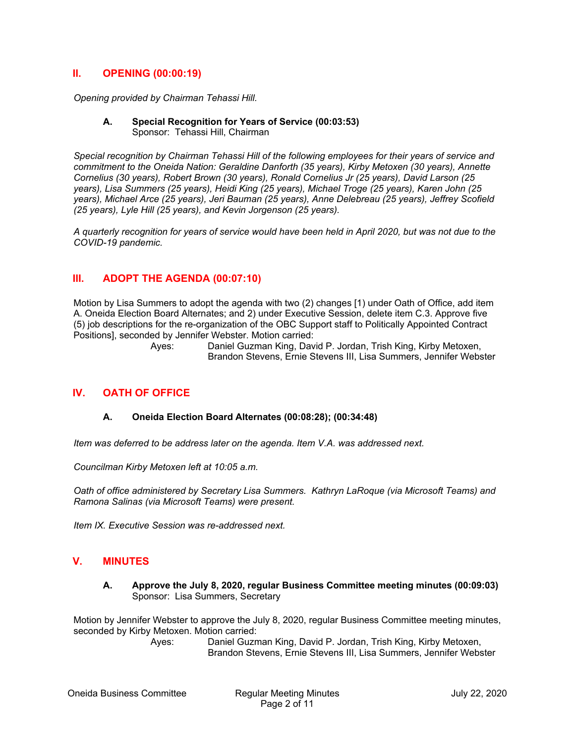# **II. OPENING (00:00:19)**

*Opening provided by Chairman Tehassi Hill.* 

#### **A. Special Recognition for Years of Service (00:03:53)**  Sponsor: Tehassi Hill, Chairman

*Special recognition by Chairman Tehassi Hill of the following employees for their years of service and commitment to the Oneida Nation: Geraldine Danforth (35 years), Kirby Metoxen (30 years), Annette Cornelius (30 years), Robert Brown (30 years), Ronald Cornelius Jr (25 years), David Larson (25 years), Lisa Summers (25 years), Heidi King (25 years), Michael Troge (25 years), Karen John (25 years), Michael Arce (25 years), Jeri Bauman (25 years), Anne Delebreau (25 years), Jeffrey Scofield (25 years), Lyle Hill (25 years), and Kevin Jorgenson (25 years).* 

*A quarterly recognition for years of service would have been held in April 2020, but was not due to the COVID-19 pandemic.* 

# **III. ADOPT THE AGENDA (00:07:10)**

Motion by Lisa Summers to adopt the agenda with two (2) changes [1) under Oath of Office, add item A. Oneida Election Board Alternates; and 2) under Executive Session, delete item C.3. Approve five (5) job descriptions for the re-organization of the OBC Support staff to Politically Appointed Contract Positions], seconded by Jennifer Webster. Motion carried:

> Ayes: Daniel Guzman King, David P. Jordan, Trish King, Kirby Metoxen, Brandon Stevens, Ernie Stevens III, Lisa Summers, Jennifer Webster

## **IV. OATH OF OFFICE**

## **A. Oneida Election Board Alternates (00:08:28); (00:34:48)**

*Item was deferred to be address later on the agenda. Item V.A. was addressed next.* 

*Councilman Kirby Metoxen left at 10:05 a.m.* 

*Oath of office administered by Secretary Lisa Summers. Kathryn LaRoque (via Microsoft Teams) and Ramona Salinas (via Microsoft Teams) were present.* 

*Item IX. Executive Session was re-addressed next.* 

## **V. MINUTES**

**A. Approve the July 8, 2020, regular Business Committee meeting minutes (00:09:03)**  Sponsor: Lisa Summers, Secretary

Motion by Jennifer Webster to approve the July 8, 2020, regular Business Committee meeting minutes, seconded by Kirby Metoxen. Motion carried: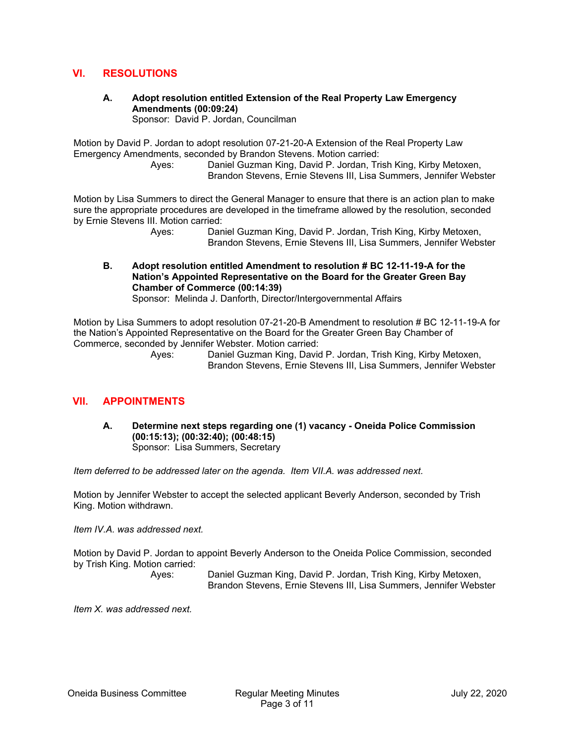# **VI. RESOLUTIONS**

**A. Adopt resolution entitled Extension of the Real Property Law Emergency Amendments (00:09:24)** 

Sponsor: David P. Jordan, Councilman

Motion by David P. Jordan to adopt resolution 07-21-20-A Extension of the Real Property Law Emergency Amendments, seconded by Brandon Stevens. Motion carried:

 Ayes: Daniel Guzman King, David P. Jordan, Trish King, Kirby Metoxen, Brandon Stevens, Ernie Stevens III, Lisa Summers, Jennifer Webster

Motion by Lisa Summers to direct the General Manager to ensure that there is an action plan to make sure the appropriate procedures are developed in the timeframe allowed by the resolution, seconded by Ernie Stevens III. Motion carried:

 Ayes: Daniel Guzman King, David P. Jordan, Trish King, Kirby Metoxen, Brandon Stevens, Ernie Stevens III, Lisa Summers, Jennifer Webster

**B. Adopt resolution entitled Amendment to resolution # BC 12-11-19-A for the Nation's Appointed Representative on the Board for the Greater Green Bay Chamber of Commerce (00:14:39)** 

Sponsor: Melinda J. Danforth, Director/Intergovernmental Affairs

Motion by Lisa Summers to adopt resolution 07-21-20-B Amendment to resolution # BC 12-11-19-A for the Nation's Appointed Representative on the Board for the Greater Green Bay Chamber of Commerce, seconded by Jennifer Webster. Motion carried:

> Ayes: Daniel Guzman King, David P. Jordan, Trish King, Kirby Metoxen, Brandon Stevens, Ernie Stevens III, Lisa Summers, Jennifer Webster

# **VII. APPOINTMENTS**

**A. Determine next steps regarding one (1) vacancy - Oneida Police Commission (00:15:13); (00:32:40); (00:48:15)**  Sponsor: Lisa Summers, Secretary

*Item deferred to be addressed later on the agenda. Item VII.A. was addressed next.* 

Motion by Jennifer Webster to accept the selected applicant Beverly Anderson, seconded by Trish King. Motion withdrawn.

*Item IV.A. was addressed next.* 

Motion by David P. Jordan to appoint Beverly Anderson to the Oneida Police Commission, seconded by Trish King. Motion carried:

 Ayes: Daniel Guzman King, David P. Jordan, Trish King, Kirby Metoxen, Brandon Stevens, Ernie Stevens III, Lisa Summers, Jennifer Webster

*Item X. was addressed next.*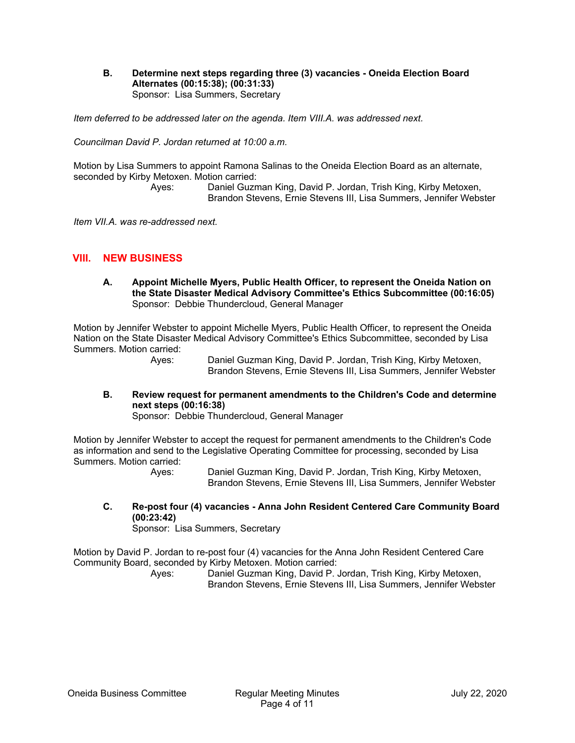**B. Determine next steps regarding three (3) vacancies - Oneida Election Board Alternates (00:15:38); (00:31:33)**  Sponsor: Lisa Summers, Secretary

*Item deferred to be addressed later on the agenda. Item VIII.A. was addressed next.* 

*Councilman David P. Jordan returned at 10:00 a.m.* 

Motion by Lisa Summers to appoint Ramona Salinas to the Oneida Election Board as an alternate, seconded by Kirby Metoxen. Motion carried:

 Ayes: Daniel Guzman King, David P. Jordan, Trish King, Kirby Metoxen, Brandon Stevens, Ernie Stevens III, Lisa Summers, Jennifer Webster

*Item VII.A. was re-addressed next.* 

## **VIII. NEW BUSINESS**

**A. Appoint Michelle Myers, Public Health Officer, to represent the Oneida Nation on the State Disaster Medical Advisory Committee's Ethics Subcommittee (00:16:05)**  Sponsor: Debbie Thundercloud, General Manager

Motion by Jennifer Webster to appoint Michelle Myers, Public Health Officer, to represent the Oneida Nation on the State Disaster Medical Advisory Committee's Ethics Subcommittee, seconded by Lisa Summers. Motion carried:

 Ayes: Daniel Guzman King, David P. Jordan, Trish King, Kirby Metoxen, Brandon Stevens, Ernie Stevens III, Lisa Summers, Jennifer Webster

## **B. Review request for permanent amendments to the Children's Code and determine next steps (00:16:38)**

Sponsor: Debbie Thundercloud, General Manager

Motion by Jennifer Webster to accept the request for permanent amendments to the Children's Code as information and send to the Legislative Operating Committee for processing, seconded by Lisa Summers. Motion carried:

 Ayes: Daniel Guzman King, David P. Jordan, Trish King, Kirby Metoxen, Brandon Stevens, Ernie Stevens III, Lisa Summers, Jennifer Webster

**C. Re-post four (4) vacancies - Anna John Resident Centered Care Community Board (00:23:42)** 

Sponsor: Lisa Summers, Secretary

Motion by David P. Jordan to re-post four (4) vacancies for the Anna John Resident Centered Care Community Board, seconded by Kirby Metoxen. Motion carried: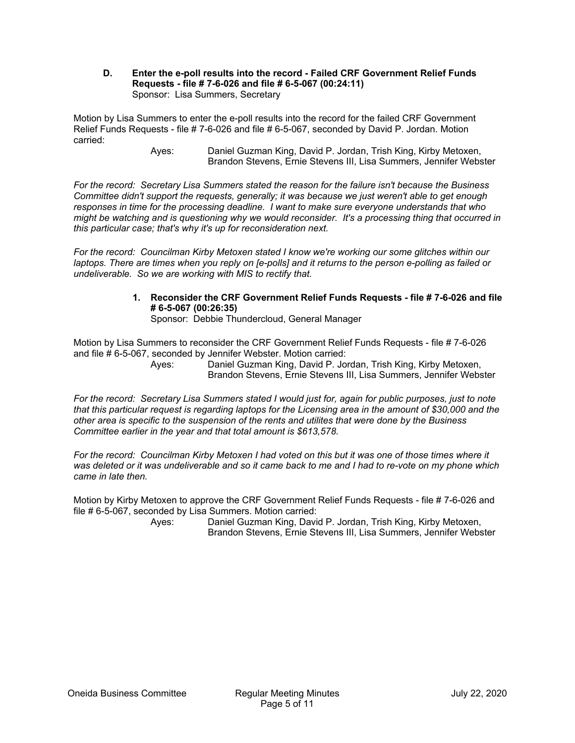### **D. Enter the e-poll results into the record - Failed CRF Government Relief Funds Requests - file # 7-6-026 and file # 6-5-067 (00:24:11)**  Sponsor: Lisa Summers, Secretary

Motion by Lisa Summers to enter the e-poll results into the record for the failed CRF Government Relief Funds Requests - file # 7-6-026 and file # 6-5-067, seconded by David P. Jordan. Motion carried:

 Ayes: Daniel Guzman King, David P. Jordan, Trish King, Kirby Metoxen, Brandon Stevens, Ernie Stevens III, Lisa Summers, Jennifer Webster

*For the record: Secretary Lisa Summers stated the reason for the failure isn't because the Business Committee didn't support the requests, generally; it was because we just weren't able to get enough responses in time for the processing deadline. I want to make sure everyone understands that who might be watching and is questioning why we would reconsider. It's a processing thing that occurred in this particular case; that's why it's up for reconsideration next.* 

*For the record: Councilman Kirby Metoxen stated I know we're working our some glitches within our laptops. There are times when you reply on [e-polls] and it returns to the person e-polling as failed or undeliverable. So we are working with MIS to rectify that.* 

> **1. Reconsider the CRF Government Relief Funds Requests - file # 7-6-026 and file # 6-5-067 (00:26:35)**

Sponsor: Debbie Thundercloud, General Manager

Motion by Lisa Summers to reconsider the CRF Government Relief Funds Requests - file # 7-6-026 and file # 6-5-067, seconded by Jennifer Webster. Motion carried:

 Ayes: Daniel Guzman King, David P. Jordan, Trish King, Kirby Metoxen, Brandon Stevens, Ernie Stevens III, Lisa Summers, Jennifer Webster

*For the record: Secretary Lisa Summers stated I would just for, again for public purposes, just to note that this particular request is regarding laptops for the Licensing area in the amount of \$30,000 and the other area is specific to the suspension of the rents and utilites that were done by the Business Committee earlier in the year and that total amount is \$613,578.* 

*For the record: Councilman Kirby Metoxen I had voted on this but it was one of those times where it was deleted or it was undeliverable and so it came back to me and I had to re-vote on my phone which came in late then.* 

Motion by Kirby Metoxen to approve the CRF Government Relief Funds Requests - file # 7-6-026 and file # 6-5-067, seconded by Lisa Summers. Motion carried: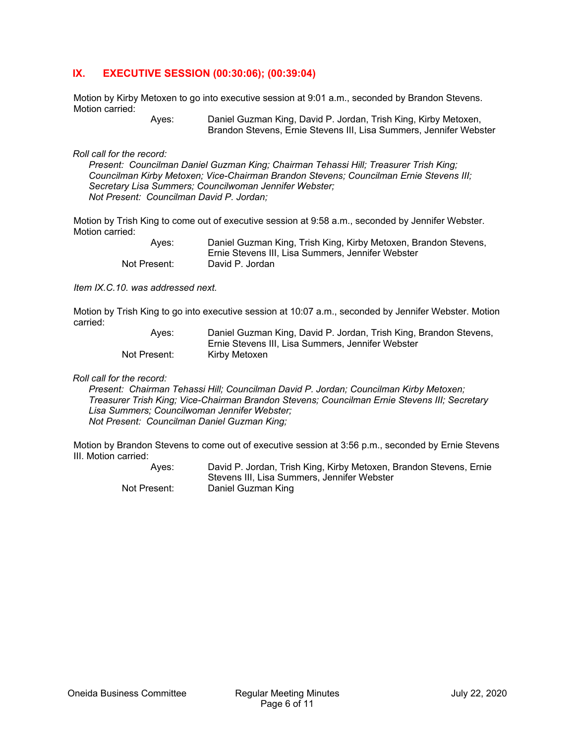# **IX. EXECUTIVE SESSION (00:30:06); (00:39:04)**

Motion by Kirby Metoxen to go into executive session at 9:01 a.m., seconded by Brandon Stevens. Motion carried:

 Ayes: Daniel Guzman King, David P. Jordan, Trish King, Kirby Metoxen, Brandon Stevens, Ernie Stevens III, Lisa Summers, Jennifer Webster

*Roll call for the record:* 

*Present: Councilman Daniel Guzman King; Chairman Tehassi Hill; Treasurer Trish King; Councilman Kirby Metoxen; Vice-Chairman Brandon Stevens; Councilman Ernie Stevens III; Secretary Lisa Summers; Councilwoman Jennifer Webster; Not Present: Councilman David P. Jordan;* 

Motion by Trish King to come out of executive session at 9:58 a.m., seconded by Jennifer Webster. Motion carried:

| Aves:        | Daniel Guzman King, Trish King, Kirby Metoxen, Brandon Stevens, |
|--------------|-----------------------------------------------------------------|
|              | Ernie Stevens III. Lisa Summers. Jennifer Webster               |
| Not Present: | David P. Jordan                                                 |

*Item IX.C.10. was addressed next.* 

Motion by Trish King to go into executive session at 10:07 a.m., seconded by Jennifer Webster. Motion carried:

| Aves:        | Daniel Guzman King, David P. Jordan, Trish King, Brandon Stevens, |
|--------------|-------------------------------------------------------------------|
|              | Ernie Stevens III. Lisa Summers. Jennifer Webster                 |
| Not Present: | Kirby Metoxen                                                     |

*Roll call for the record:* 

*Present: Chairman Tehassi Hill; Councilman David P. Jordan; Councilman Kirby Metoxen; Treasurer Trish King; Vice-Chairman Brandon Stevens; Councilman Ernie Stevens III; Secretary Lisa Summers; Councilwoman Jennifer Webster; Not Present: Councilman Daniel Guzman King;* 

Motion by Brandon Stevens to come out of executive session at 3:56 p.m., seconded by Ernie Stevens III. Motion carried:

 Ayes: David P. Jordan, Trish King, Kirby Metoxen, Brandon Stevens, Ernie Stevens III, Lisa Summers, Jennifer Webster Not Present: Daniel Guzman King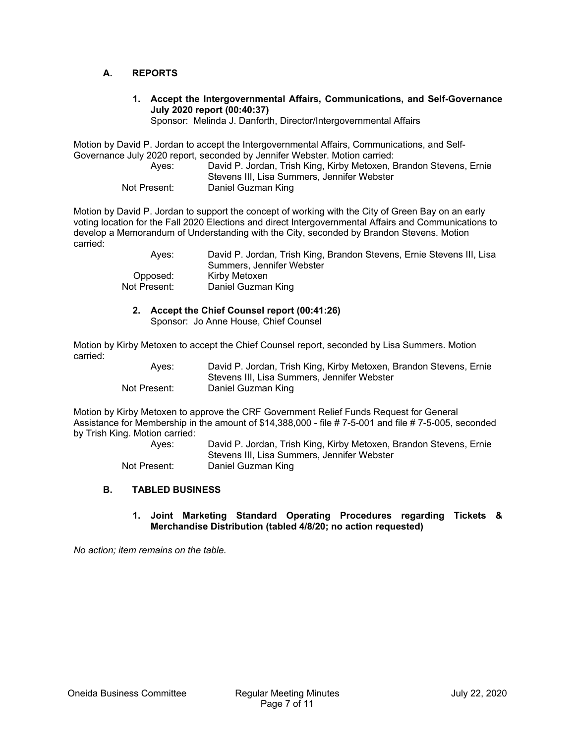## **A. REPORTS**

**1. Accept the Intergovernmental Affairs, Communications, and Self-Governance July 2020 report (00:40:37)** 

Sponsor: Melinda J. Danforth, Director/Intergovernmental Affairs

Motion by David P. Jordan to accept the Intergovernmental Affairs, Communications, and Self-Governance July 2020 report, seconded by Jennifer Webster. Motion carried:

| Aves:        | David P. Jordan, Trish King, Kirby Metoxen, Brandon Stevens, Ernie |
|--------------|--------------------------------------------------------------------|
|              | Stevens III, Lisa Summers, Jennifer Webster                        |
| Not Present: | Daniel Guzman King                                                 |

Motion by David P. Jordan to support the concept of working with the City of Green Bay on an early voting location for the Fall 2020 Elections and direct Intergovernmental Affairs and Communications to develop a Memorandum of Understanding with the City, seconded by Brandon Stevens. Motion carried:

| Aves:        | David P. Jordan, Trish King, Brandon Stevens, Ernie Stevens III, Lisa<br>Summers, Jennifer Webster |
|--------------|----------------------------------------------------------------------------------------------------|
| Opposed:     | Kirby Metoxen                                                                                      |
| Not Present: | Daniel Guzman King                                                                                 |

**2. Accept the Chief Counsel report (00:41:26)** 

Sponsor: Jo Anne House, Chief Counsel

Motion by Kirby Metoxen to accept the Chief Counsel report, seconded by Lisa Summers. Motion carried:

| Ayes:        | David P. Jordan, Trish King, Kirby Metoxen, Brandon Stevens, Ernie |
|--------------|--------------------------------------------------------------------|
|              | Stevens III. Lisa Summers, Jennifer Webster                        |
| Not Present: | Daniel Guzman King                                                 |

Motion by Kirby Metoxen to approve the CRF Government Relief Funds Request for General Assistance for Membership in the amount of \$14,388,000 - file # 7-5-001 and file # 7-5-005, seconded by Trish King. Motion carried:

 Ayes: David P. Jordan, Trish King, Kirby Metoxen, Brandon Stevens, Ernie Stevens III, Lisa Summers, Jennifer Webster Not Present: Daniel Guzman King

### **B. TABLED BUSINESS**

## **1. Joint Marketing Standard Operating Procedures regarding Tickets & Merchandise Distribution (tabled 4/8/20; no action requested)**

*No action; item remains on the table.*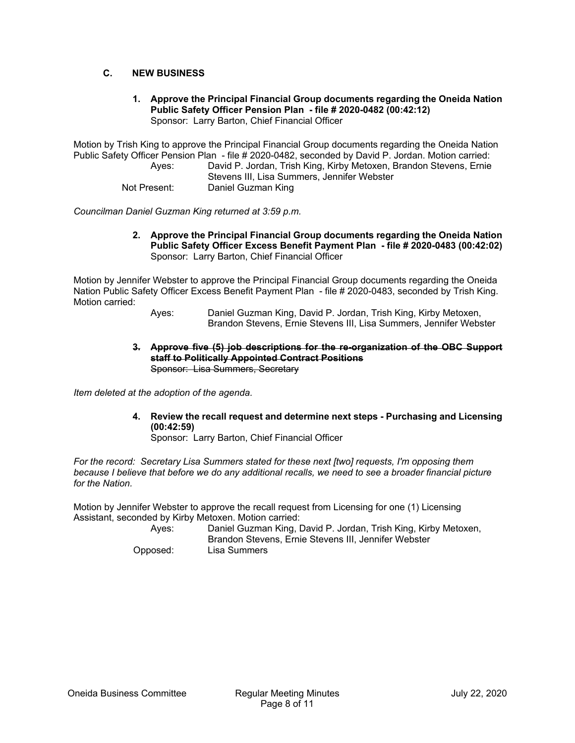## **C. NEW BUSINESS**

#### **1. Approve the Principal Financial Group documents regarding the Oneida Nation Public Safety Officer Pension Plan - file # 2020-0482 (00:42:12)**  Sponsor: Larry Barton, Chief Financial Officer

Motion by Trish King to approve the Principal Financial Group documents regarding the Oneida Nation Public Safety Officer Pension Plan - file # 2020-0482, seconded by David P. Jordan. Motion carried: Ayes: David P. Jordan, Trish King, Kirby Metoxen, Brandon Stevens, Ernie

Stevens III, Lisa Summers, Jennifer Webster

Not Present: Daniel Guzman King

*Councilman Daniel Guzman King returned at 3:59 p.m.* 

**2. Approve the Principal Financial Group documents regarding the Oneida Nation Public Safety Officer Excess Benefit Payment Plan - file # 2020-0483 (00:42:02)**  Sponsor: Larry Barton, Chief Financial Officer

Motion by Jennifer Webster to approve the Principal Financial Group documents regarding the Oneida Nation Public Safety Officer Excess Benefit Payment Plan - file # 2020-0483, seconded by Trish King. Motion carried:

 Ayes: Daniel Guzman King, David P. Jordan, Trish King, Kirby Metoxen, Brandon Stevens, Ernie Stevens III, Lisa Summers, Jennifer Webster

**3. Approve five (5) job descriptions for the re-organization of the OBC Support staff to Politically Appointed Contract Positions**  Sponsor: Lisa Summers, Secretary

*Item deleted at the adoption of the agenda.* 

**4. Review the recall request and determine next steps - Purchasing and Licensing (00:42:59)** 

Sponsor: Larry Barton, Chief Financial Officer

*For the record: Secretary Lisa Summers stated for these next [two] requests, I'm opposing them because I believe that before we do any additional recalls, we need to see a broader financial picture for the Nation.* 

Motion by Jennifer Webster to approve the recall request from Licensing for one (1) Licensing Assistant, seconded by Kirby Metoxen. Motion carried:

 Ayes: Daniel Guzman King, David P. Jordan, Trish King, Kirby Metoxen, Brandon Stevens, Ernie Stevens III, Jennifer Webster Opposed: Lisa Summers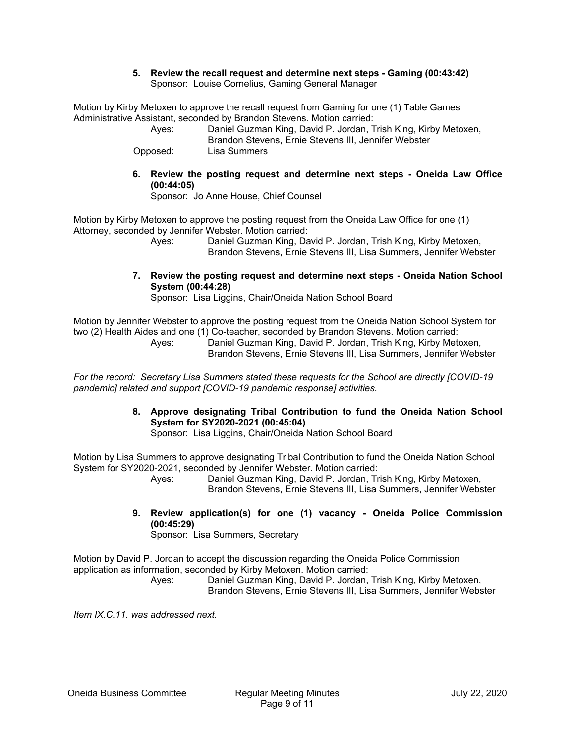### **5. Review the recall request and determine next steps - Gaming (00:43:42)**  Sponsor: Louise Cornelius, Gaming General Manager

Motion by Kirby Metoxen to approve the recall request from Gaming for one (1) Table Games Administrative Assistant, seconded by Brandon Stevens. Motion carried:

 Ayes: Daniel Guzman King, David P. Jordan, Trish King, Kirby Metoxen, Brandon Stevens, Ernie Stevens III, Jennifer Webster

Opposed: Lisa Summers

**6. Review the posting request and determine next steps - Oneida Law Office (00:44:05)** 

Sponsor: Jo Anne House, Chief Counsel

Motion by Kirby Metoxen to approve the posting request from the Oneida Law Office for one (1) Attorney, seconded by Jennifer Webster. Motion carried:

 Ayes: Daniel Guzman King, David P. Jordan, Trish King, Kirby Metoxen, Brandon Stevens, Ernie Stevens III, Lisa Summers, Jennifer Webster

**7. Review the posting request and determine next steps - Oneida Nation School System (00:44:28)** 

Sponsor: Lisa Liggins, Chair/Oneida Nation School Board

Motion by Jennifer Webster to approve the posting request from the Oneida Nation School System for two (2) Health Aides and one (1) Co-teacher, seconded by Brandon Stevens. Motion carried:

 Ayes: Daniel Guzman King, David P. Jordan, Trish King, Kirby Metoxen, Brandon Stevens, Ernie Stevens III, Lisa Summers, Jennifer Webster

*For the record: Secretary Lisa Summers stated these requests for the School are directly [COVID-19 pandemic] related and support [COVID-19 pandemic response] activities.* 

# **8. Approve designating Tribal Contribution to fund the Oneida Nation School System for SY2020-2021 (00:45:04)**

Sponsor: Lisa Liggins, Chair/Oneida Nation School Board

Motion by Lisa Summers to approve designating Tribal Contribution to fund the Oneida Nation School System for SY2020-2021, seconded by Jennifer Webster. Motion carried:

 Ayes: Daniel Guzman King, David P. Jordan, Trish King, Kirby Metoxen, Brandon Stevens, Ernie Stevens III, Lisa Summers, Jennifer Webster

**9. Review application(s) for one (1) vacancy - Oneida Police Commission (00:45:29)** 

Sponsor: Lisa Summers, Secretary

Motion by David P. Jordan to accept the discussion regarding the Oneida Police Commission application as information, seconded by Kirby Metoxen. Motion carried:

 Ayes: Daniel Guzman King, David P. Jordan, Trish King, Kirby Metoxen, Brandon Stevens, Ernie Stevens III, Lisa Summers, Jennifer Webster

*Item IX.C.11. was addressed next.*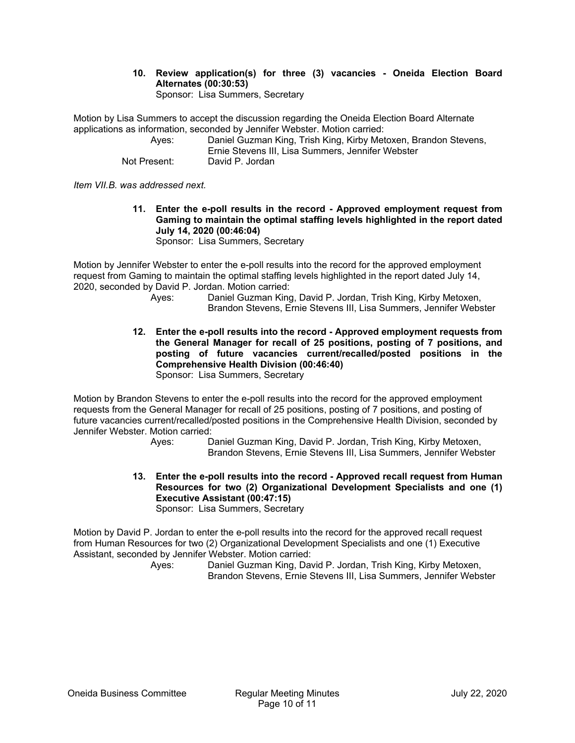#### **10. Review application(s) for three (3) vacancies - Oneida Election Board Alternates (00:30:53)**  Sponsor: Lisa Summers, Secretary

Motion by Lisa Summers to accept the discussion regarding the Oneida Election Board Alternate applications as information, seconded by Jennifer Webster. Motion carried:

| Ayes:        | Daniel Guzman King, Trish King, Kirby Metoxen, Brandon Stevens, |
|--------------|-----------------------------------------------------------------|
|              | Ernie Stevens III. Lisa Summers. Jennifer Webster               |
| Not Present: | David P. Jordan                                                 |

*Item VII.B. was addressed next.* 

**11. Enter the e-poll results in the record - Approved employment request from Gaming to maintain the optimal staffing levels highlighted in the report dated July 14, 2020 (00:46:04)** 

Sponsor: Lisa Summers, Secretary

Motion by Jennifer Webster to enter the e-poll results into the record for the approved employment request from Gaming to maintain the optimal staffing levels highlighted in the report dated July 14, 2020, seconded by David P. Jordan. Motion carried:

- Ayes: Daniel Guzman King, David P. Jordan, Trish King, Kirby Metoxen, Brandon Stevens, Ernie Stevens III, Lisa Summers, Jennifer Webster
- **12. Enter the e-poll results into the record Approved employment requests from the General Manager for recall of 25 positions, posting of 7 positions, and posting of future vacancies current/recalled/posted positions in the Comprehensive Health Division (00:46:40)**  Sponsor: Lisa Summers, Secretary

Motion by Brandon Stevens to enter the e-poll results into the record for the approved employment requests from the General Manager for recall of 25 positions, posting of 7 positions, and posting of future vacancies current/recalled/posted positions in the Comprehensive Health Division, seconded by Jennifer Webster. Motion carried:

 Ayes: Daniel Guzman King, David P. Jordan, Trish King, Kirby Metoxen, Brandon Stevens, Ernie Stevens III, Lisa Summers, Jennifer Webster

**13. Enter the e-poll results into the record - Approved recall request from Human Resources for two (2) Organizational Development Specialists and one (1) Executive Assistant (00:47:15)**  Sponsor: Lisa Summers, Secretary

Motion by David P. Jordan to enter the e-poll results into the record for the approved recall request from Human Resources for two (2) Organizational Development Specialists and one (1) Executive Assistant, seconded by Jennifer Webster. Motion carried: